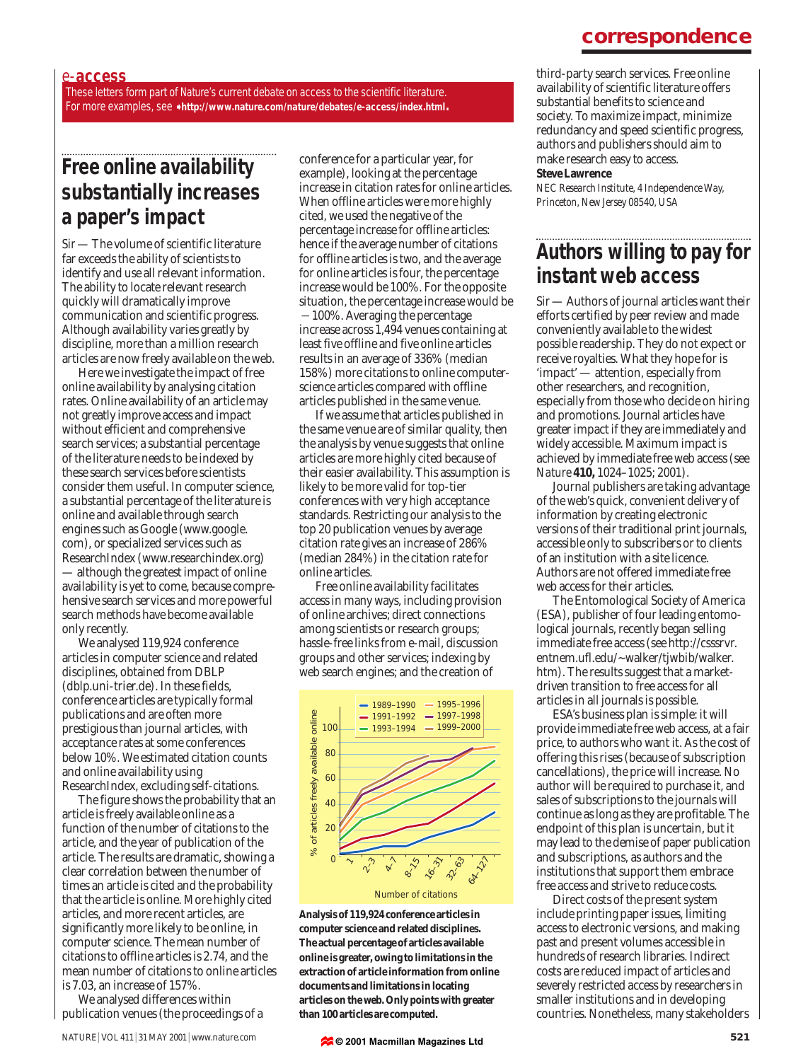### **correspondence**

#### e-**access**

These letters form part of *Nature*'s current debate on access to the scientific literature. For more examples, see ➧ **http://www.nature.com/nature/debates/e-access/index.html**.

## **Free online availability substantially increases a paper's impact**

*Sir*— The volume of scientific literature far exceeds the ability of scientists to identify and use all relevant information. The ability to locate relevant research quickly will dramatically improve communication and scientific progress. Although availability varies greatly by discipline, more than a million research articles are now freely available on the web.

Here we investigate the impact of free online availability by analysing citation rates. Online availability of an article may not greatly improve access and impact without efficient and comprehensive search services; a substantial percentage of the literature needs to be indexed by these search services before scientists consider them useful. In computer science, a substantial percentage of the literature is online and available through search engines such as Google (www.google. com), or specialized services such as ResearchIndex (www.researchindex.org) — although the greatest impact of online availability is yet to come, because comprehensive search services and more powerful search methods have become available only recently.

We analysed 119,924 conference articles in computer science and related disciplines, obtained from DBLP (dblp.uni-trier.de). In these fields, conference articles are typically formal publications and are often more prestigious than journal articles, with acceptance rates at some conferences below 10%. We estimated citation counts and online availability using ResearchIndex, excluding self-citations.

The figure shows the probability that an article is freely available online as a function of the number of citations to the article, and the year of publication of the article. The results are dramatic, showing a clear correlation between the number of times an article is cited and the probability that the article is online. More highly cited articles, and more recent articles, are significantly more likely to be online, in computer science. The mean number of citations to offline articles is 2.74, and the mean number of citations to online articles is 7.03, an increase of 157%.

We analysed differences within publication venues (the proceedings of a conference for a particular year, for example), looking at the percentage increase in citation rates for online articles. When offline articles were more highly cited, we used the negative of the percentage increase for offline articles: hence if the average number of citations for offline articles is two, and the average for online articles is four, the percentage increase would be 100%. For the opposite situation, the percentage increase would be  $-100\%$ . Averaging the percentage increase across 1,494 venues containing at least five offline and five online articles results in an average of 336% (median 158%) more citations to online computerscience articles compared with offline articles published in the same venue.

If we assume that articles published in the same venue are of similar quality, then the analysis by venue suggests that online articles are more highly cited because of their easier availability. This assumption is likely to be more valid for top-tier conferences with very high acceptance standards. Restricting our analysis to the top 20 publication venues by average citation rate gives an increase of 286% (median 284%) in the citation rate for online articles.

Free online availability facilitates access in many ways, including provision of online archives; direct connections among scientists or research groups; hassle-free links from e-mail, discussion groups and other services; indexing by web search engines; and the creation of



**Analysis of 119,924 conference articles in computer science and related disciplines. The actual percentage of articles available online is greater, owing to limitations in the extraction of article information from online documents and limitations in locating articles on the web. Only points with greater than 100 articles are computed.**

**© 2001 Macmillan Magazines Ltd**

third-party search services. Free online availability of scientific literature offers substantial benefits to science and society. To maximize impact, minimize redundancy and speed scientific progress, authors and publishers should aim to make research easy to access.

#### **Steve Lawrence**

*NEC Research Institute, 4 Independence Way, Princeton, New Jersey 08540, USA*

# **Authors willing to pay for instant web access**

*Sir*— Authors of journal articles want their efforts certified by peer review and made conveniently available to the widest possible readership. They do not expect or receive royalties. What they hope for is 'impact' — attention, especially from other researchers, and recognition, especially from those who decide on hiring and promotions. Journal articles have greater impact if they are immediately and widely accessible. Maximum impact is achieved by immediate free web access (see *Nature* **410,** 1024–1025; 2001).

Journal publishers are taking advantage of the web's quick, convenient delivery of information by creating electronic versions of their traditional print journals, accessible only to subscribers or to clients of an institution with a site licence. Authors are not offered immediate free web access for their articles.

The Entomological Society of America (ESA), publisher of four leading entomological journals, recently began selling immediate free access (see http://csssrvr. entnem.ufl.edu/~walker/tjwbib/walker. htm). The results suggest that a marketdriven transition to free access for all articles in all journals is possible.

ESA's business plan is simple: it will provide immediate free web access, at a fair price, to authors who want it. As the cost of offering this rises (because of subscription cancellations), the price will increase. No author will be required to purchase it, and sales of subscriptions to the journals will continue as long as they are profitable. The endpoint of this plan is uncertain, but it may lead to the demise of paper publication and subscriptions, as authors and the institutions that support them embrace free access and strive to reduce costs.

Direct costs of the present system include printing paper issues, limiting access to electronic versions, and making past and present volumes accessible in hundreds of research libraries. Indirect costs are reduced impact of articles and severely restricted access by researchers in smaller institutions and in developing countries. Nonetheless, many stakeholders